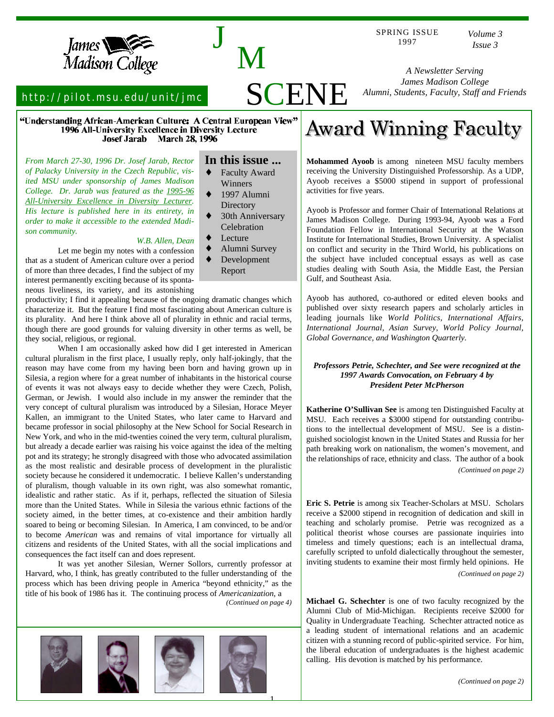

http://pilot.msu.edu/unit/jmc

"Understanding African-American Culture: A Central European View" 1996 All-University Excellence in Diversity Lecture Josef Jarab March 28, 1996

*From March 27-30, 1996 Dr. Josef Jarab, Rector of Palacky University in the Czech Republic, visited MSU under sponsorship of James Madison College. Dr. Jarab was featured as the 1995-96 All-University Excellence in Diversity Lecturer . His lecture is published here in its entirety, in order to make it accessible to the extended Madison community.*

#### *W.B. Allen, Dean*

Let me begin my notes with a confession that as a student of American culture over a period of more than three decades, I find the subject of my interest permanently exciting because of its spontaneous liveliness, its variety, and its astonishing

productivity; I find it appealing because of the ongoing dramatic changes which characterize it. But the feature I find most fascinating about American culture is its plurality. And here I think above all of plurality in ethnic and racial terms, though there are good grounds for valuing diversity in other terms as well, be they social, religious, or regional.

When I am occasionally asked how did I get interested in American cultural pluralism in the first place, I usually reply, only half-jokingly, that the reason may have come from my having been born and having grown up in Silesia, a region where for a great number of inhabitants in the historical course of events it was not always easy to decide whether they were Czech, Polish, German, or Jewish. I would also include in my answer the reminder that the very concept of cultural pluralism was introduced by a Silesian, Horace Meyer Kallen, an immigrant to the United States, who later came to Harvard and became professor in social philosophy at the New School for Social Research in New York, and who in the mid-twenties coined the very term, cultural pluralism, but already a decade earlier was raising his voice against the idea of the melting pot and its strategy; he strongly disagreed with those who advocated assimilation as the most realistic and desirable process of development in the pluralistic society because he considered it undemocratic. I believe Kallen's understanding of pluralism, though valuable in its own right, was also somewhat romantic, idealistic and rather static. As if it, perhaps, reflected the situation of Silesia more than the United States. While in Silesia the various ethnic factions of the society aimed, in the better times, at co-existence and their ambition hardly soared to being or becoming Silesian. In America, I am convinced, to be and/or to become *American* was and remains of vital importance for virtually all citizens and residents of the United States, with all the social implications and consequences the fact itself can and does represent.

It was yet another Silesian, Werner Sollors, currently professor at Harvard, who, I think, has greatly contributed to the fuller understanding of the process which has been driving people in America "beyond ethnicity," as the title of his book of 1986 has it. The continuing process of *Americanization*, a



**In this issue ...**

<sup>J</sup> <sup>M</sup>

SCENE

- Faculty Award Winners
- 1997 Alumni **Directory**
- 30th Anniversary **Celebration**
- Lecture
- Alumni Survey Development
- Report

# **Award Winning Faculty**

**Mohammed Ayoob** is among nineteen MSU faculty members receiving the University Distinguished Professorship. As a UDP, Ayoob receives a \$5000 stipend in support of professional activities for five years.

Ayoob is Professor and former Chair of International Relations at James Madison College. During 1993-94, Ayoob was a Ford Foundation Fellow in International Security at the Watson Institute for International Studies, Brown University. A specialist on conflict and security in the Third World, his publications on the subject have included conceptual essays as well as case studies dealing with South Asia, the Middle East, the Persian Gulf, and Southeast Asia.

Ayoob has authored, co-authored or edited eleven books and published over sixty research papers and scholarly articles in leading journals like *World Politics, International Affairs, International Journal, Asian Survey, World Policy Journal, Global Governance, and Washington Quarterly*.

### *Professors Petrie, Schechter, and See were recognized at the 1997 Awards Convocation, on February 4 by President Peter McPherson*

**Katherine O'Sullivan See** is among ten Distinguished Faculty at MSU. Each receives a \$3000 stipend for outstanding contributions to the intellectual development of MSU. See is a distinguished sociologist known in the United States and Russia for her path breaking work on nationalism, the women's movement, and the relationships of race, ethnicity and class. The author of a book

*(Continued on page 2)*

**Eric S. Petrie** is among six Teacher-Scholars at MSU. Scholars receive a \$2000 stipend in recognition of dedication and skill in teaching and scholarly promise. Petrie was recognized as a political theorist whose courses are passionate inquiries into timeless and timely questions; each is an intellectual drama, carefully scripted to unfold dialectically throughout the semester, inviting students to examine their most firmly held opinions. He *(Continued on page 2)*

*(Continued on page 4)* **Michael G. Schechter** is one of two faculty recognized by the Alumni Club of Mid-Michigan. Recipients receive \$2000 for Quality in Undergraduate Teaching. Schechter attracted notice as a leading student of international relations and an academic citizen with a stunning record of public-spirited service. For him, the liberal education of undergraduates is the highest academic calling. His devotion is matched by his performance.

SPRING ISSUE 1997

*A Newsletter Serving James Madison College Alumni, Students, Faculty, Staff and Friends*

*Volume 3 Issue 3*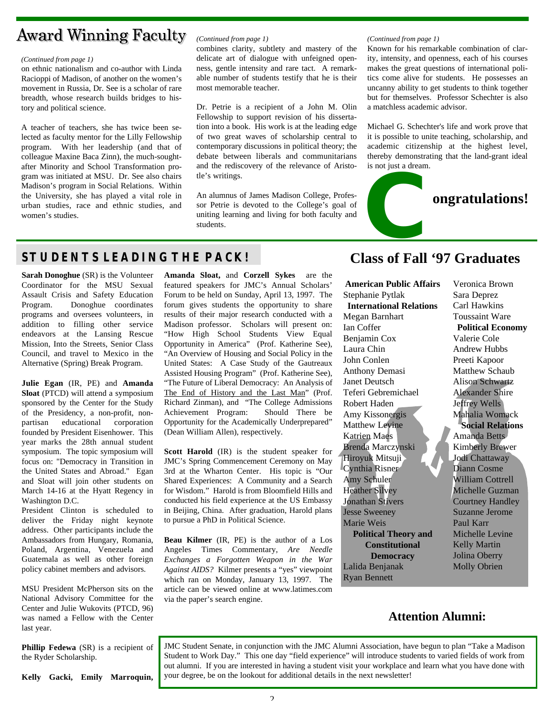## **Award Winning Faculty**

#### *(Continued from page 1)*

on ethnic nationalism and co-author with Linda Racioppi of Madison, of another on the women's movement in Russia, Dr. See is a scholar of rare breadth, whose research builds bridges to history and political science.

A teacher of teachers, she has twice been selected as faculty mentor for the Lilly Fellowship program. With her leadership (and that of colleague Maxine Baca Zinn), the much-soughtafter Minority and School Transformation program was initiated at MSU. Dr. See also chairs Madison's program in Social Relations. Within the University, she has played a vital role in urban studies, race and ethnic studies, and women's studies.

## *(Continued from page 1)*

combines clarity, subtlety and mastery of the delicate art of dialogue with unfeigned openness, gentle intensity and rare tact. A remarkable number of students testify that he is their most memorable teacher.

Dr. Petrie is a recipient of a John M. Olin Fellowship to support revision of his dissertation into a book. His work is at the leading edge of two great waves of scholarship central to contemporary discussions in political theory; the debate between liberals and communitarians and the rediscovery of the relevance of Aristotle's writings.

An alumnus of James Madison College, Professor Petrie is devoted to the College's goal of uniting learning and living for both faculty and students.

#### *(Continued from page 1)*

Known for his remarkable combination of clarity, intensity, and openness, each of his courses makes the great questions of international politics come alive for students. He possesses an uncanny ability to get students to think together but for themselves. Professor Schechter is also a matchless academic advisor.

Michael G. Schechter's life and work prove that it is possible to unite teaching, scholarship, and academic citizenship at the highest level, thereby demonstrating that the land-grant ideal is not just a dream.



## **STUDENTS LEADING THE PACK! Class of Fall '97 Graduates**

**Sarah Donoghue** (SR) is the Volunteer Coordinator for the MSU Sexual Assault Crisis and Safety Education Program. Donoghue coordinates programs and oversees volunteers, in addition to filling other service endeavors at the Lansing Rescue Mission, Into the Streets, Senior Class Council, and travel to Mexico in the Alternative (Spring) Break Program.

**Julie Egan** (IR, PE) and **Amanda Sloat** (PTCD) will attend a symposium sponsored by the Center for the Study of the Presidency, a non-profit, nonpartisan educational corporation founded by President Eisenhower. This year marks the 28th annual student symposium. The topic symposium will focus on: "Democracy in Transition in the United States and Abroad." Egan and Sloat will join other students on March 14-16 at the Hyatt Regency in Washington D.C.

President Clinton is scheduled to deliver the Friday night keynote address. Other participants include the Ambassadors from Hungary, Romania, Poland, Argentina, Venezuela and Guatemala as well as other foreign policy cabinet members and advisors.

MSU President McPherson sits on the National Advisory Committee for the Center and Julie Wukovits (PTCD, 96) was named a Fellow with the Center last year.

**Phillip Fedewa** (SR) is a recipient of the Ryder Scholarship.

**Kelly Gacki, Emily Marroquin,**

**Amanda Sloat,** and **Corzell Sykes** are the featured speakers for JMC's Annual Scholars' Forum to be held on Sunday, April 13, 1997. The forum gives students the opportunity to share results of their major research conducted with a Madison professor. Scholars will present on: "How High School Students View Equal Opportunity in America" (Prof. Katherine See), "An Overview of Housing and Social Policy in the United States: A Case Study of the Gautreaux Assisted Housing Program" (Prof. Katherine See), "The Future of Liberal Democracy: An Analysis of The End of History and the Last Man" (Prof. Richard Zinman), and "The College Admissions Achievement Program: Should There be Opportunity for the Academically Underprepared" (Dean William Allen), respectively.

**Scott Harold** (IR) is the student speaker for JMC's Spring Commencement Ceremony on May 3rd at the Wharton Center. His topic is "Our Shared Experiences: A Community and a Search for Wisdom." Harold is from Bloomfield Hills and conducted his field experience at the US Embassy in Beijing, China. After graduation, Harold plans to pursue a PhD in Political Science.

**Beau Kilmer** (IR, PE) is the author of a Los Angeles Times Commentary, *Are Needle Exchanges a Forgotten Weapon in the War Against AIDS?* Kilmer presents a "yes" viewpoint which ran on Monday, January 13, 1997. The article can be viewed online at www.latimes.com via the paper's search engine.

**American Public Affairs** Stephanie Pytlak **International Relations** Megan Barnhart Ian Coffer Benjamin Cox Laura Chin John Conlen Anthony Demasi Janet Deutsch Teferi Gebremichael Robert Haden Amy Kissonergis Matthew Levine Katrien Maes Brenda Marczynski Hiroyuk Mitsuji Cynthia Risner Amy Schuler Heather Silvey Jonathan Stivers Jesse Sweeney Marie Weis **Political Theory and Constitutional Democracy** Lalida Benjanak Ryan Bennett

Veronica Brown Sara Deprez Carl Hawkins Toussaint Ware **Political Economy** Valerie Cole Andrew Hubbs Preeti Kapoor Matthew Schaub Alison Schwartz Alexander Shire Jeffrey Wells Mahalia Womack **Social Relations** Amanda Betts Kimberly Brewer Jodi Chattaway Diann Cosme William Cottrell Michelle Guzman Courtney Handley Suzanne Jerome Paul Karr Michelle Levine Kelly Martin Jolina Oberry Molly Obrien

## **Attention Alumni:**

JMC Student Senate, in conjunction with the JMC Alumni Association, have begun to plan "Take a Madison Student to Work Day." This one day "field experience" will introduce students to varied fields of work from out alumni. If you are interested in having a student visit your workplace and learn what you have done with your degree, be on the lookout for additional details in the next newsletter!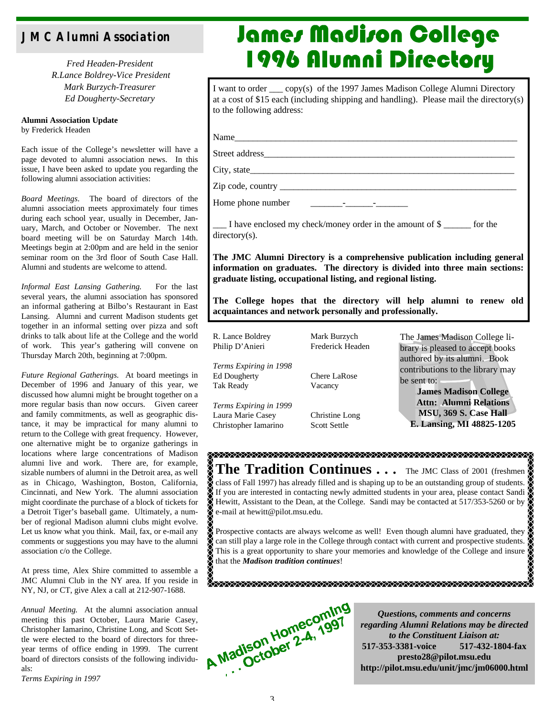## **JMC Alumni Association**

*Fred Headen-President R.Lance Boldrey-Vice President Mark Burzych-Treasurer Ed Dougherty-Secretary*

**Alumni Association Update** by Frederick Headen

Each issue of the College's newsletter will have a page devoted to alumni association news. In this issue, I have been asked to update you regarding the following alumni association activities:

*Board Meetings.* The board of directors of the alumni association meets approximately four times during each school year, usually in December, January, March, and October or November. The next board meeting will be on Saturday March 14th. Meetings begin at 2:00pm and are held in the senior seminar room on the 3rd floor of South Case Hall. Alumni and students are welcome to attend.

*Informal East Lansing Gathering.* For the last several years, the alumni association has sponsored an informal gathering at Bilbo's Restaurant in East Lansing. Alumni and current Madison students get together in an informal setting over pizza and soft drinks to talk about life at the College and the world of work. This year's gathering will convene on Thursday March 20th, beginning at 7:00pm.

*Future Regional Gatherings.* At board meetings in December of 1996 and January of this year, we discussed how alumni might be brought together on a more regular basis than now occurs. Given career and family commitments, as well as geographic distance, it may be impractical for many alumni to return to the College with great frequency. However, one alternative might be to organize gatherings in locations where large concentrations of Madison alumni live and work. There are, for example, sizable numbers of alumni in the Detroit area, as well as in Chicago, Washington, Boston, California, Cincinnati, and New York. The alumni association might coordinate the purchase of a block of tickets for a Detroit Tiger's baseball game. Ultimately, a number of regional Madison alumni clubs might evolve. Let us know what you think. Mail, fax, or e-mail any comments or suggestions you may have to the alumni association c/o the College.

At press time, Alex Shire committed to assemble a JMC Alumni Club in the NY area. If you reside in NY, NJ, or CT, give Alex a call at 212-907-1688.

*Annual Meeting.* At the alumni association annual meeting this past October, Laura Marie Casey, Christopher Iamarino, Christine Long, and Scott Settle were elected to the board of directors for threeyear terms of office ending in 1999. The current board of directors consists of the following individuals:

*Terms Expiring in 1997*

# James Madison Gollege 1996 Alumni Directory

I want to order \_\_\_ copy(s) of the 1997 James Madison College Alumni Directory at a cost of \$15 each (including shipping and handling). Please mail the directory(s) to the following address:

Name\_\_\_\_\_\_\_\_\_\_\_\_\_\_\_\_\_\_\_\_\_\_\_\_\_\_\_\_\_\_\_\_\_\_\_\_\_\_\_\_\_\_\_\_\_\_\_\_\_\_\_\_\_\_\_\_\_\_\_\_\_\_

Street address\_\_\_\_\_\_\_\_\_\_\_\_\_\_\_\_\_\_\_\_\_\_\_\_\_\_\_\_\_\_\_\_\_\_\_\_\_\_\_\_\_\_\_\_\_\_\_\_\_\_\_\_\_\_\_

City, state\_\_\_\_\_\_\_\_\_\_\_\_\_\_\_\_\_\_\_\_\_\_\_\_\_\_\_\_\_\_\_\_\_\_\_\_\_\_\_\_\_\_\_\_\_\_\_\_\_\_\_\_\_\_\_\_\_\_

Zip code, country \_\_\_\_\_\_\_\_\_\_\_\_\_\_\_\_\_\_\_\_\_\_\_\_\_\_\_\_\_\_\_\_\_\_\_\_\_\_\_\_\_\_\_\_\_\_\_\_\_\_\_\_

Home phone number  $\qquad \qquad \qquad$ 

\_\_\_ I have enclosed my check/money order in the amount of \$ \_\_\_\_\_\_ for the directory(s).

**The JMC Alumni Directory is a comprehensive publication including general information on graduates. The directory is divided into three main sections: graduate listing, occupational listing, and regional listing.**

**The College hopes that the directory will help alumni to renew old acquaintances and network personally and professionally.**

| R. Lance Boldrey<br>Philip D'Anieri                                 | Mark Burzych<br>Frederick Headen      | The James Madison College li-<br>brary is pleased to accept books<br>authored by its alumni. Book |
|---------------------------------------------------------------------|---------------------------------------|---------------------------------------------------------------------------------------------------|
| Terms Expiring in 1998<br><b>Ed Dougherty</b><br>Tak Ready          | <b>Chere LaRose</b><br>Vacancy        | contributions to the library may<br>be sent to:<br><b>James Madison College</b>                   |
| Terms Expiring in 1999<br>Laura Marie Casey<br>Christopher Iamarino | Christine Long<br><b>Scott Settle</b> | <b>Attn: Alumni Relations</b><br>MSU, 369 S. Case Hall<br>E. Lansing, MI 48825-1205               |

**The Tradition Continues ...** The JMC Class of 2001 (freshmen class of Fall 1997) has already filled and is shaping up to be an outstanding group of students. If you are interested in contacting newly admitted students in your area, please contact Sandi Hewitt, Assistant to the Dean, at the College. Sandi may be contacted at 517/353-5260 or by e-mail at hewitt@pilot.msu.edu.

Prospective contacts are always welcome as well! Even though alumni have graduated, they can still play a large role in the College through contact with current and prospective students. This is a great opportunity to share your memories and knowledge of the College and insure that the *Madison tradition continues*!

<u> Xaaraa xaadaa xaadaa xaadaa xaadaa xaadaa xaadaa xaadaa xaa</u>

A Madison Homecoming

*Questions, comments and concerns regarding Alumni Relations may be directed to the Constituent Liaison at:* **517-353-3381-voice 517-432-1804-fax presto28@pilot.msu.edu http://pilot.msu.edu/unit/jmc/jm06000.html**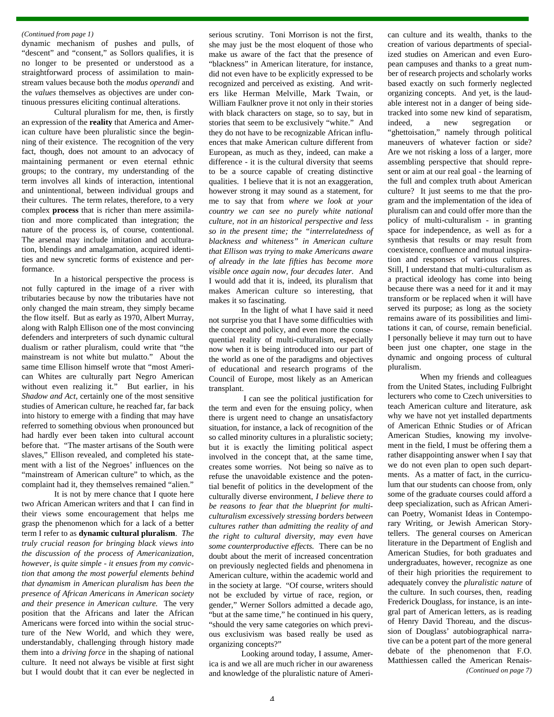#### *(Continued from page 1)*

dynamic mechanism of pushes and pulls, of "descent" and "consent," as Sollors qualifies, it is no longer to be presented or understood as a straightforward process of assimilation to mainstream values because both the *modus operandi* and the *values* themselves as objectives are under continuous pressures eliciting continual alterations.

Cultural pluralism for me, then, is firstly an expression of the **reality** that America and American culture have been pluralistic since the beginning of their existence. The recognition of the very fact, though, does not amount to an advocacy of maintaining permanent or even eternal ethnic groups; to the contrary, my understanding of the term involves all kinds of interaction, intentional and unintentional, between individual groups and their cultures. The term relates, therefore, to a very complex **process** that is richer than mere assimilation and more complicated than integration; the nature of the process is, of course, contentional. The arsenal may include imitation and acculturation, blendings and amalgamation, acquired identities and new syncretic forms of existence and performance.

In a historical perspective the process is not fully captured in the image of a river with tributaries because by now the tributaries have not only changed the main stream, they simply became the flow itself. But as early as 1970, Albert Murray, along with Ralph Ellison one of the most convincing defenders and interpreters of such dynamic cultural dualism or rather pluralism, could write that "the mainstream is not white but mulatto." About the same time Ellison himself wrote that "most American Whites are culturally part Negro American without even realizing it." But earlier, in his *Shadow and Act*, certainly one of the most sensitive studies of American culture, he reached far, far back into history to emerge with a finding that may have referred to something obvious when pronounced but had hardly ever been taken into cultural account before that. "The master artisans of the South were slaves," Ellison revealed, and completed his statement with a list of the Negroes' influences on the "mainstream of American culture" to which, as the complaint had it, they themselves remained "alien."

It is not by mere chance that I quote here two African American writers and that I can find in their views some encouragement that helps me grasp the phenomenon which for a lack of a better term I refer to as **dynamic cultural pluralism**. *The truly crucial reason for bringing black views into the discussion of the process of Americanization, however, is quite simple - it ensues from my conviction that among the most powerful elements behind that dynamism in American pluralism has been the presence of African Americans in American society and their presence in American culture.* The very position that the Africans and later the African Americans were forced into within the social structure of the New World, and which they were, understandably, challenging through history made them into a *driving force* in the shaping of national culture. It need not always be visible at first sight but I would doubt that it can ever be neglected in

serious scrutiny. Toni Morrison is not the first, she may just be the most eloquent of those who make us aware of the fact that the presence of "blackness" in American literature, for instance, did not even have to be explicitly expressed to be recognized and perceived as existing. And writers like Herman Melville, Mark Twain, or William Faulkner prove it not only in their stories with black characters on stage, so to say, but in stories that seem to be exclusively "white." And they do not have to be recognizable African influences that make American culture different from European, as much as they, indeed, can make a difference - it is the cultural diversity that seems to be a source capable of creating distinctive qualities. I believe that it is not an exaggeration, however strong it may sound as a statement, for me to say that from *where we look at your country we can see no purely white national culture, not in an historical perspective and less so in the present time; the "interrelatedness of blackness and whiteness" in American culture that Ellison was trying to make Americans aware of already in the late fifties has become more visible once again now, four decades later.* And I would add that it is, indeed, its pluralism that makes American culture so interesting, that makes it so fascinating.

In the light of what I have said it need not surprise you that I have some difficulties with the concept and policy, and even more the consequential reality of multi-culturalism, especially now when it is being introduced into our part of the world as one of the paradigms and objectives of educational and research programs of the Council of Europe, most likely as an American transplant.

 I can see the political justification for the term and even for the ensuing policy, when there is urgent need to change an unsatisfactory situation, for instance, a lack of recognition of the so called minority cultures in a pluralistic society; but it is exactly the limiting political aspect involved in the concept that, at the same time, creates some worries. Not being so naïve as to refuse the unavoidable existence and the potential benefit of politics in the development of the culturally diverse environment, *I believe there to be reasons to fear that the blueprint for multiculturalism excessively stressing borders between cultures rather than admitting the reality of and the right to cultural diversity, may even have some counterproductive effects.* There can be no doubt about the merit of increased concentration on previously neglected fields and phenomena in American culture, within the academic world and in the society at large. "Of course, writers should not be excluded by virtue of race, region, or gender," Werner Sollors admitted a decade ago, "but at the same time," he continued in his query, "should the very same categories on which previous exclusivism was based really be used as organizing concepts?"

Looking around today, I assume, America is and we all are much richer in our awareness and knowledge of the pluralistic nature of American culture and its wealth, thanks to the creation of various departments of specialized studies on American and even European campuses and thanks to a great number of research projects and scholarly works based exactly on such formerly neglected organizing concepts. And yet, is the laudable interest not in a danger of being sidetracked into some new kind of separatism, indeed, a new segregation or "ghettoisation," namely through political maneuvers of whatever faction or side? Are we not risking a loss of a larger, more assembling perspective that should represent or aim at our real goal - the learning of the full and complex truth about American culture? It just seems to me that the program and the implementation of the idea of pluralism can and could offer more than the policy of multi-culturalism - in granting space for independence, as well as for a synthesis that results or may result from coexistence, confluence and mutual inspiration and responses of various cultures. Still, I understand that multi-culturalism as a practical ideology has come into being because there was a need for it and it may transform or be replaced when it will have served its purpose; as long as the society remains aware of its possibilities and limitations it can, of course, remain beneficial. I personally believe it may turn out to have been just one chapter, one stage in the dynamic and ongoing process of cultural pluralism.

When my friends and colleagues from the United States, including Fulbright lecturers who come to Czech universities to teach American culture and literature, ask why we have not yet installed departments of American Ethnic Studies or of African American Studies, knowing my involvement in the field, I must be offering them a rather disappointing answer when I say that we do not even plan to open such departments. As a matter of fact, in the curriculum that our students can choose from, only some of the graduate courses could afford a deep specialization, such as African American Poetry, Womanist Ideas in Contemporary Writing, or Jewish American Storytellers. The general courses on American literature in the Department of English and American Studies, for both graduates and undergraduates, however, recognize as one of their high priorities the requirement to adequately convey the *pluralistic nature* of the culture. In such courses, then, reading Frederick Douglass, for instance, is an integral part of American letters, as is reading of Henry David Thoreau, and the discussion of Douglass' autobiographical narrative can be a potent part of the more general debate of the phenomenon that F.O. Matthiessen called the American Renais- *(Continued on page 7)*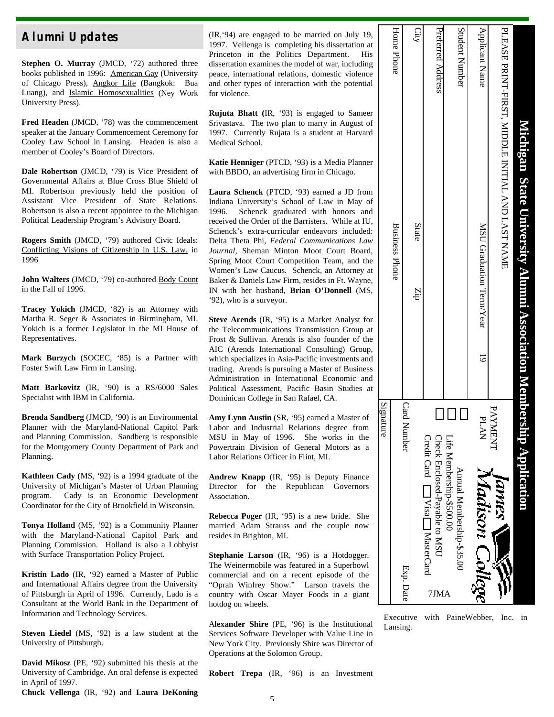**Stephen O. Murray** (JMCD, '72) authored three books published in 1996: American Gay (University of Chicago Press), Angkor Life (Bangkok: Bua Luang), and Islamic Homosexualities (Ney Work University Press).

**Fred Headen** (JMCD, '78) was the commencement speaker at the January Commencement Ceremony for Cooley Law School in Lansing. Headen is also a member of Cooley's Board of Directors.

**Dale Robertson** (JMCD, '79) is Vice President of Governmental Affairs at Blue Cross Blue Shield of MI. Robertson previously held the position of Assistant Vice President of State Relations. Robertson is also a recent appointee to the Michigan Political Leadership Program's Advisory Board.

**Rogers Smith** (JMCD, '79) authored Civic Ideals: Conflicting Visions of Citizenship in U.S. Law. in 1996

John Walters (JMCD, '79) co-authored Body Count in the Fall of 1996.

**Tracey Yokich** (JMCD, '82) is an Attorney with Martha R. Seger & Associates in Birmingham, MI. Yokich is a former Legislator in the MI House of Representatives.

**Mark Burzych** (SOCEC, '85) is a Partner with Foster Swift Law Firm in Lansing.

**Matt Barkovitz** (IR, '90) is a RS/6000 Sales Specialist with IBM in California.

**Brenda Sandberg** (JMCD, '90) is an Environmental Planner with the Maryland-National Capitol Park and Planning Commission. Sandberg is responsible for the Montgomery County Department of Park and Planning.

**Kathleen Cady** (MS, '92) is a 1994 graduate of the University of Michigan's Master of Urban Planning program. Cady is an Economic Development Coordinator for the City of Brookfield in Wisconsin.

**Tonya Holland** (MS, '92) is a Community Planner with the Maryland-National Capitol Park and Planning Commission. Holland is also a Lobbyist with Surface Transportation Policy Project.

**Kristin Lado** (IR, '92) earned a Master of Public and International Affairs degree from the University of Pittsburgh in April of 1996. Currently, Lado is a Consultant at the World Bank in the Department of Information and Technology Services.

**Steven Liedel** (MS, '92) is a law student at the University of Pittsburgh.

**David Mikosz** (PE, '92) submitted his thesis at the University of Cambridge. An oral defense is expected in April of 1997.

**Chuck Vellenga** (IR, '92) and **Laura DeKoning**

**Alumni Updates** (IR, '94) are engaged to be married on July 19, 1997. Vellenga is completing his dissertation at Princeton in the Politics Department. His dissertation examines the model of war, including peace, international relations, domestic violence and other types of interaction with the potential for violence.

> **Rujuta Bhatt (**IR, '93) is engaged to Sameer Srivastava. The two plan to marry in August of 1997. Currently Rujata is a student at Harvard Medical School.

**Katie Henniger** (PTCD, '93) is a Media Planner with BBDO, an advertising firm in Chicago.

**Laura Schenck** (PTCD, '93) earned a JD from Indiana University's School of Law in May of 1996. Schenck graduated with honors and received the Order of the Barristers. While at IU, Schenck's extra-curricular endeavors included: Delta Theta Phi, *Federal Communications Law Journal*, Sheman Minton Moot Court Board, Spring Moot Court Competition Team, and the Women's Law Caucus. Schenck, an Attorney at Baker & Daniels Law Firm, resides in Ft. Wayne, IN with her husband, **Brian O'Donnell** (MS, '92), who is a surveyor.

**Steve Arends** (IR, '95) is a Market Analyst for the Telecommunications Transmission Group at Frost & Sullivan. Arends is also founder of the AIC (Arends International Consulting) Group, which specializes in Asia-Pacific investments and trading. Arends is pursuing a Master of Business Administration in International Economic and Political Assessment, Pacific Basin Studies at Dominican College in San Rafael, CA.

**Amy Lynn Austin** (SR, '95) earned a Master of Labor and Industrial Relations degree from MSU in May of 1996. She works in the Powertrain Division of General Motors as a Labor Relations Officer in Flint, MI.

**Andrew Knapp** (IR, '95) is Deputy Finance Director for the Republican Governors Association.

**Rebecca Poger** (IR, '95) is a new bride. She married Adam Strauss and the couple now resides in Brighton, MI.

**Stephanie Larson** (IR, '96) is a Hotdogger. The Weinermobile was featured in a Superbowl commercial and on a recent episode of the "Oprah Winfrey Show." Larson travels the country with Oscar Mayer Foods in a giant hotdog on wheels.

A**lexander Shire** (PE, '96) is the Institutional Services Software Developer with Value Line in New York City. Previously Shire was Director of Operations at the Solomon Group.

| Signature                                                              |                                                                     |                   |
|------------------------------------------------------------------------|---------------------------------------------------------------------|-------------------|
|                                                                        | <b>Business Phone</b>                                               | Home Phone        |
| Card Number<br>Exp. Date                                               |                                                                     |                   |
|                                                                        | State<br>Zip                                                        | City              |
| Credit Card [ Visa MasterCard<br>Check Enclosed-Payable to MSU<br>7JMA |                                                                     | Preferred Address |
| Life Membership-\$500.00<br>Annual Membership-\$35.00                  |                                                                     | Student Number    |
| PLAN<br>Madison College                                                | MSU Graduation Term/Year                                            | Applicant Name    |
| PAYMENT<br><b>UNNES V</b>                                              | PLEASE PRINT-FIRST, MIDDLE INITIAL AND LAST NAME                    |                   |
|                                                                        | Michigan State University Alumni Association Membership Application |                   |

Executive with PaineWebber, Inc. in Lansing.

**Robert Trepa** (IR, '96) is an Investment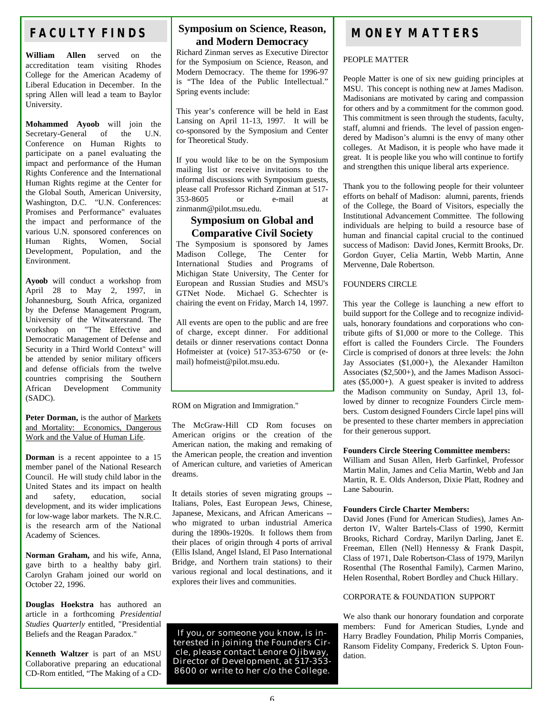## **FACULTY FINDS**

**William Allen** served on the accreditation team visiting Rhodes College for the American Academy of Liberal Education in December. In the spring Allen will lead a team to Baylor University.

**Mohammed Ayoob** will join the Secretary-General of the U.N. Conference on Human Rights to participate on a panel evaluating the impact and performance of the Human Rights Conference and the International Human Rights regime at the Center for the Global South, American University, Washington, D.C. "U.N. Conferences: Promises and Performance" evaluates the impact and performance of the various U.N. sponsored conferences on Human Rights, Women, Social Development, Population, and the Environment.

**Ayoob** will conduct a workshop from April 28 to May 2, 1997, in Johannesburg, South Africa, organized by the Defense Management Program, University of the Witwatersrand. The workshop on "The Effective and Democratic Management of Defense and Security in a Third World Context" will be attended by senior military officers and defense officials from the twelve countries comprising the Southern<br>African Development Community Development Community (SADC).

#### **Peter Dorman,** is the author of Markets and Mortality: Economics, Dangerous Work and the Value of Human Life.

**Dorman** is a recent appointee to a 15 member panel of the National Research Council. He will study child labor in the United States and its impact on health<br>and safety, education. social safety, education, social development, and its wider implications for low-wage labor markets. The N.R.C. is the research arm of the National Academy of Sciences.

**Norman Graham,** and his wife, Anna, gave birth to a healthy baby girl. Carolyn Graham joined our world on October 22, 1996.

**Douglas Hoekstra** has authored an article in a forthcoming *Presidential Studies Quarterly* entitled, "Presidential Beliefs and the Reagan Paradox."

**Kenneth Waltzer** is part of an MSU Collaborative preparing an educational CD-Rom entitled, "The Making of a CD-

## **Symposium on Science, Reason, and Modern Democracy**

Richard Zinman serves as Executive Director for the Symposium on Science, Reason, and Modern Democracy. The theme for 1996-97 is "The Idea of the Public Intellectual." Spring events include:

This year's conference will be held in East Lansing on April 11-13, 1997. It will be co-sponsored by the Symposium and Center for Theoretical Study.

If you would like to be on the Symposium mailing list or receive invitations to the informal discussions with Symposium guests, please call Professor Richard Zinman at 517- 353-8605 or e-mail at zinmanm@pilot.msu.edu.

## **Symposium on Global and Comparative Civil Society**

The Symposium is sponsored by James<br>Madison College. The Center for Madison College, International Studies and Programs of Michigan State University, The Center for European and Russian Studies and MSU's GTNet Node. Michael G. Schechter is chairing the event on Friday, March 14, 1997.

All events are open to the public and are free of charge, except dinner. For additional details or dinner reservations contact Donna Hofmeister at (voice) 517-353-6750 or (email) hofmeist@pilot.msu.edu.

ROM on Migration and Immigration."

The McGraw-Hill CD Rom focuses on American origins or the creation of the American nation, the making and remaking of the American people, the creation and invention of American culture, and varieties of American dreams.

It details stories of seven migrating groups -- Italians, Poles, East European Jews, Chinese, Japanese, Mexicans, and African Americans - who migrated to urban industrial America during the 1890s-1920s. It follows them from their places of origin through 4 ports of arrival (Ellis Island, Angel Island, El Paso International Bridge, and Northern train stations) to their various regional and local destinations, and it explores their lives and communities.

If you, or someone you know, is interested in joining the Founders Circle, please contact Lenore Ojibway, Director of Development, at 517-353-8600 or write to her c/o the College.

## **MONEY MATTERS**

## PEOPLE MATTER

People Matter is one of six new guiding principles at MSU. This concept is nothing new at James Madison. Madisonians are motivated by caring and compassion for others and by a commitment for the common good. This commitment is seen through the students, faculty, staff, alumni and friends. The level of passion engendered by Madison's alumni is the envy of many other colleges. At Madison, it is people who have made it great. It is people like you who will continue to fortify and strengthen this unique liberal arts experience.

Thank you to the following people for their volunteer efforts on behalf of Madison: alumni, parents, friends of the College, the Board of Visitors, especially the Institutional Advancement Committee. The following individuals are helping to build a resource base of human and financial capital crucial to the continued success of Madison: David Jones, Kermitt Brooks, Dr. Gordon Guyer, Celia Martin, Webb Martin, Anne Mervenne, Dale Robertson.

## FOUNDERS CIRCLE

This year the College is launching a new effort to build support for the College and to recognize individuals, honorary foundations and corporations who contribute gifts of \$1,000 or more to the College. This effort is called the Founders Circle. The Founders Circle is comprised of donors at three levels: the John Jay Associates (\$1,000+), the Alexander Hamilton Associates (\$2,500+), and the James Madison Associates (\$5,000+). A guest speaker is invited to address the Madison community on Sunday, April 13, followed by dinner to recognize Founders Circle members. Custom designed Founders Circle lapel pins will be presented to these charter members in appreciation for their generous support.

### **Founders Circle Steering Committee members:**

William and Susan Allen, Herb Garfinkel, Professor Martin Malin, James and Celia Martin, Webb and Jan Martin, R. E. Olds Anderson, Dixie Platt, Rodney and Lane Sabourin.

### **Founders Circle Charter Members:**

David Jones (Fund for American Studies), James Anderton IV, Walter Bartels-Class of 1990, Kermitt Brooks, Richard Cordray, Marilyn Darling, Janet E. Freeman, Ellen (Nell) Hennessy & Frank Daspit, Class of 1971, Dale Robertson-Class of 1979, Marilyn Rosenthal (The Rosenthal Family), Carmen Marino, Helen Rosenthal, Robert Bordley and Chuck Hillary.

## CORPORATE & FOUNDATION SUPPORT

We also thank our honorary foundation and corporate members: Fund for American Studies, Lynde and Harry Bradley Foundation, Philip Morris Companies, Ransom Fidelity Company, Frederick S. Upton Foundation.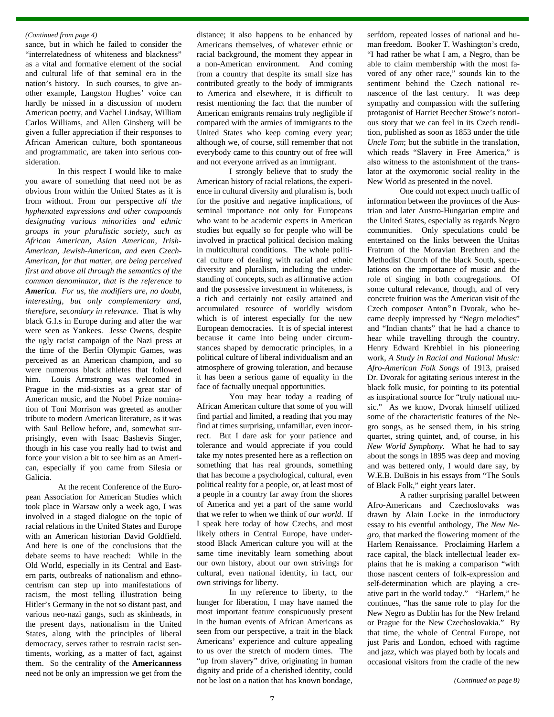sance, but in which he failed to consider the "interrelatedness of whiteness and blackness" as a vital and formative element of the social and cultural life of that seminal era in the nation's history. In such courses, to give another example, Langston Hughes' voice can hardly be missed in a discussion of modern American poetry, and Vachel Lindsay, William Carlos Williams, and Allen Ginsberg will be given a fuller appreciation if their responses to African American culture, both spontaneous and programmatic, are taken into serious consideration.

In this respect I would like to make you aware of something that need not be as obvious from within the United States as it is from without. From our perspective *all the hyphenated expressions and other compounds designating various minorities and ethnic groups in your pluralistic society, such as African American, Asian American, Irish-American, Jewish-American, and even Czech-American, for that matter, are being perceived first and above all through the semantics of the common denominator, that is the reference to America. For us, the modifiers are, no doubt, interesting, but only complementary and, therefore, secondary in relevance.* That is why black G.I.s in Europe during and after the war were seen as Yankees. Jesse Owens, despite the ugly racist campaign of the Nazi press at the time of the Berlin Olympic Games, was perceived as an American champion, and so were numerous black athletes that followed him. Louis Armstrong was welcomed in Prague in the mid-sixties as a great star of American music, and the Nobel Prize nomination of Toni Morrison was greeted as another tribute to modern American literature, as it was with Saul Bellow before, and, somewhat surprisingly, even with Isaac Bashevis Singer, though in his case you really had to twist and force your vision a bit to see him as an American, especially if you came from Silesia or Galicia.

At the recent Conference of the European Association for American Studies which took place in Warsaw only a week ago, I was involved in a staged dialogue on the topic of racial relations in the United States and Europe with an American historian David Goldfield. And here is one of the conclusions that the debate seems to have reached: While in the Old World, especially in its Central and Eastern parts, outbreaks of nationalism and ethnocentrism can step up into manifestations of racism, the most telling illustration being Hitler's Germany in the not so distant past, and various neo-nazi gangs, such as skinheads, in the present days, nationalism in the United States, along with the principles of liberal democracy, serves rather to restrain racist sentiments, working, as a matter of fact, against them. So the centrality of the **Americanness** need not be only an impression we get from the

*(Continued from page 4)* distance; it also happens to be enhanced by Americans themselves, of whatever ethnic or racial background, the moment they appear in a non-American environment. And coming from a country that despite its small size has contributed greatly to the body of immigrants to America and elsewhere, it is difficult to resist mentioning the fact that the number of American emigrants remains truly negligible if compared with the armies of immigrants to the United States who keep coming every year; although we, of course, still remember that not everybody came to this country out of free will and not everyone arrived as an immigrant.

> I strongly believe that to study the American history of racial relations, the experience in cultural diversity and pluralism is, both for the positive and negative implications, of seminal importance not only for Europeans who want to be academic experts in American studies but equally so for people who will be involved in practical political decision making in multicultural conditions. The whole political culture of dealing with racial and ethnic diversity and pluralism, including the understanding of concepts, such as affirmative action and the possessive investment in whiteness, is a rich and certainly not easily attained and accumulated resource of worldly wisdom which is of interest especially for the new European democracies. It is of special interest because it came into being under circumstances shaped by democratic principles, in a political culture of liberal individualism and an atmosphere of growing toleration, and because it has been a serious game of equality in the face of factually unequal opportunities.

> You may hear today a reading of African American culture that some of you will find partial and limited, a reading that you may find at times surprising, unfamiliar, even incorrect. But I dare ask for your patience and tolerance and would appreciate if you could take my notes presented here as a reflection on something that has real grounds, something that has become a psychological, cultural, even political reality for a people, or, at least most of a people in a country far away from the shores of America and yet a part of the same world that we refer to when we think of *our world*. If I speak here today of how Czechs, and most likely others in Central Europe, have understood Black American culture you will at the same time inevitably learn something about our own history, about our own strivings for cultural, even national identity, in fact, our own strivings for liberty.

> In my reference to liberty, to the hunger for liberation, I may have named the most important feature conspicuously present in the human events of African Americans as seen from our perspective, a trait in the black Americans' experience and culture appealing to us over the stretch of modern times. The "up from slavery" drive, originating in human dignity and pride of a cherished identity, could not be lost on a nation that has known bondage,

serfdom, repeated losses of national and human freedom. Booker T. Washington's credo, "I had rather be what I am, a Negro, than be able to claim membership with the most favored of any other race," sounds kin to the sentiment behind the Czech national renascence of the last century. It was deep sympathy and compassion with the suffering protagonist of Harriet Beecher Stowe's notorious story that we can feel in its Czech rendition, published as soon as 1853 under the title *Uncle Tom*; but the subtitle in the translation, which reads "Slavery in Free America," is also witness to the astonishment of the translator at the oxymoronic social reality in the New World as presented in the novel.

One could not expect much traffic of information between the provinces of the Austrian and later Austro-Hungarian empire and the United States, especially as regards Negro communities. Only speculations could be entertained on the links between the Unitas Fratrum of the Moravian Brethren and the Methodist Church of the black South, speculations on the importance of music and the role of singing in both congregations. Of some cultural relevance, though, and of very concrete fruition was the American visit of the Czech composer Anton¡n Dvorak, who became deeply impressed by "Negro melodies" and "Indian chants" that he had a chance to hear while travelling through the country. Henry Edward Krehbiel in his pioneering work, *A Study in Racial and National Music: Afro-American Folk Songs* of 1913, praised Dr. Dvorak for agitating serious interest in the black folk music, for pointing to its potential as inspirational source for "truly national music." As we know, Dvorak himself utilized some of the characteristic features of the Negro songs, as he sensed them, in his string quartet, string quintet, and, of course, in his *New World Symphony*. What he had to say about the songs in 1895 was deep and moving and was bettered only, I would dare say, by W.E.B. DuBois in his essays from "The Souls of Black Folk," eight years later.

A rather surprising parallel between Afro-Americans and Czechoslovaks was drawn by Alain Locke in the introductory essay to his eventful anthology, *The New Negro*, that marked the flowering moment of the Harlem Renaissance. Proclaiming Harlem a race capital, the black intellectual leader explains that he is making a comparison "with those nascent centers of folk-expression and self-determination which are playing a creative part in the world today." "Harlem," he continues, "has the same role to play for the New Negro as Dublin has for the New Ireland or Prague for the New Czechoslovakia." By that time, the whole of Central Europe, not just Paris and London, echoed with ragtime and jazz, which was played both by locals and occasional visitors from the cradle of the new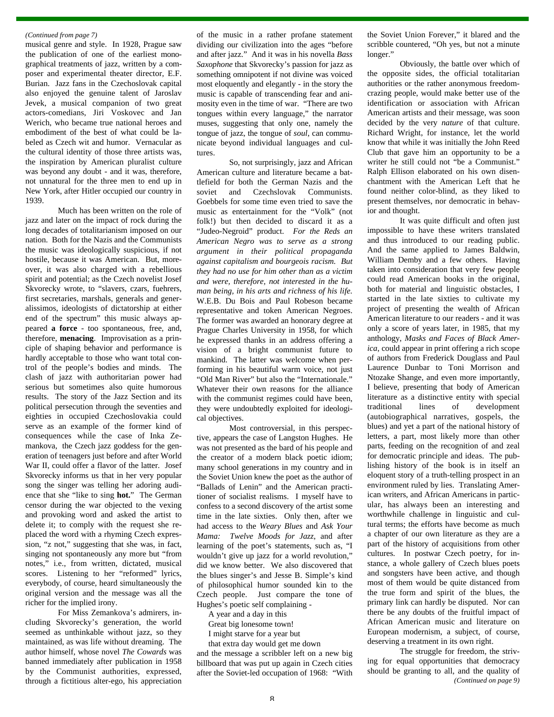musical genre and style. In 1928, Prague saw the publication of one of the earliest monographical treatments of jazz, written by a composer and experimental theater director, E.F. Burian. Jazz fans in the Czechoslovak capital also enjoyed the genuine talent of Jaroslav Jevek, a musical companion of two great actors-comedians, Jiri Voskovec and Jan Werich, who became true national heroes and embodiment of the best of what could be labeled as Czech wit and humor. Vernacular as the cultural identity of those three artists was, the inspiration by American pluralist culture was beyond any doubt - and it was, therefore, not unnatural for the three men to end up in New York, after Hitler occupied our country in 1939.

Much has been written on the role of jazz and later on the impact of rock during the long decades of totalitarianism imposed on our nation. Both for the Nazis and the Communists the music was ideologically suspicious, if not hostile, because it was American. But, moreover, it was also charged with a rebellious spirit and potential; as the Czech novelist Josef Skvorecky wrote, to "slavers, czars, fuehrers, first secretaries, marshals, generals and generalissimos, ideologists of dictatorship at either end of the spectrum" this music always appeared **a force** - too spontaneous, free, and, therefore, **menacing**. Improvisation as a principle of shaping behavior and performance is hardly acceptable to those who want total control of the people's bodies and minds. The clash of jazz with authoritarian power had serious but sometimes also quite humorous results. The story of the Jazz Section and its political persecution through the seventies and eighties in occupied Czechoslovakia could serve as an example of the former kind of consequences while the case of Inka Zemankova, the Czech jazz goddess for the generation of teenagers just before and after World War II, could offer a flavor of the latter. Josef Skvorecky informs us that in her very popular song the singer was telling her adoring audience that she "like to sing **hot.**" The German censor during the war objected to the vexing and provoking word and asked the artist to delete it; to comply with the request she replaced the word with a rhyming Czech expression, "z not," suggesting that she was, in fact, singing not spontaneously any more but "from notes," i.e., from written, dictated, musical scores. Listening to her "reformed" lyrics, everybody, of course, heard simultaneously the original version and the message was all the richer for the implied irony.

For Miss Zemankova's admirers, including Skvorecky's generation, the world seemed as unthinkable without jazz, so they maintained, as was life without dreaming. The author himself, whose novel *The Cowards* was banned immediately after publication in 1958 by the Communist authorities, expressed, through a fictitious alter-ego, his appreciation

*(Continued from page 7)* of the music in a rather profane statement dividing our civilization into the ages "before and after jazz." And it was in his novella *Bass Saxophone* that Skvorecky's passion for jazz as something omnipotent if not divine was voiced most eloquently and elegantly - in the story the music is capable of transcending fear and animosity even in the time of war. "There are two tongues within every language," the narrator muses, suggesting that only one, namely the tongue of jazz, the tongue of *soul*, can communicate beyond individual languages and cultures.

> So, not surprisingly, jazz and African American culture and literature became a battlefield for both the German Nazis and the soviet and Czechslovak Communists. Goebbels for some time even tried to save the music as entertainment for the "Volk" (not folk!) but then decided to discard it as a "Judeo-Negroid" product. *For the Reds an American Negro was to serve as a strong argument in their political propaganda against capitalism and bourgeois racism. But they had no use for him other than as a victim and were, therefore, not interested in the human being, in his arts and richness of his life.* W.E.B. Du Bois and Paul Robeson became representative and token American Negroes. The former was awarded an honorary degree at Prague Charles University in 1958, for which he expressed thanks in an address offering a vision of a bright communist future to mankind. The latter was welcome when performing in his beautiful warm voice, not just "Old Man River" but also the "Internationale." Whatever their own reasons for the alliance with the communist regimes could have been, they were undoubtedly exploited for ideological objectives.

> Most controversial, in this perspective, appears the case of Langston Hughes. He was not presented as the bard of his people and the creator of a modern black poetic idiom; many school generations in my country and in the Soviet Union knew the poet as the author of "Ballads of Lenin" and the American practitioner of socialist realisms. I myself have to confess to a second discovery of the artist some time in the late sixties. Only then, after we had access to the *Weary Blues* and *Ask Your Mama: Twelve Moods for Jazz*, and after learning of the poet's statements, such as, "I wouldn't give up jazz for a world revolution," did we know better. We also discovered that the blues singer's and Jesse B. Simple's kind of philosophical humor sounded kin to the Czech people. Just compare the tone of Hughes's poetic self complaining -

A year and a day in this

Great big lonesome town!

I might starve for a year but

that extra day would get me down and the message a scribbler left on a new big billboard that was put up again in Czech cities after the Soviet-led occupation of 1968: "With the Soviet Union Forever," it blared and the scribble countered, "Oh yes, but not a minute longer."

Obviously, the battle over which of the opposite sides, the official totalitarian authorities or the rather anonymous freedomcrazing people, would make better use of the identification or association with African American artists and their message, was soon decided by the very *nature* of that culture. Richard Wright, for instance, let the world know that while it was initially the John Reed Club that gave him an opportunity to be a writer he still could not "be a Communist." Ralph Ellison elaborated on his own disenchantment with the American Left that he found neither color-blind, as they liked to present themselves, nor democratic in behavior and thought.

It was quite difficult and often just impossible to have these writers translated and thus introduced to our reading public. And the same applied to James Baldwin, William Demby and a few others. Having taken into consideration that very few people could read American books in the original, both for material and linguistic obstacles, I started in the late sixties to cultivate my project of presenting the wealth of African American literature to our readers - and it was only a score of years later, in 1985, that my anthology, *Masks and Faces of Black America*, could appear in print offering a rich scope of authors from Frederick Douglass and Paul Laurence Dunbar to Toni Morrison and Ntozake Shange, and even more importantly, I believe, presenting that body of American literature as a distinctive entity with special traditional lines of development (autobiographical narratives, gospels, the blues) and yet a part of the national history of letters, a part, most likely more than other parts, feeding on the recognition of and zeal for democratic principle and ideas. The publishing history of the book is in itself an eloquent story of a truth-telling prospect in an environment ruled by lies. Translating American writers, and African Americans in particular, has always been an interesting and worthwhile challenge in linguistic and cultural terms; the efforts have become as much a chapter of our own literature as they are a part of the history of acquisitions from other cultures. In postwar Czech poetry, for instance, a whole gallery of Czech blues poets and songsters have been active, and though most of them would be quite distanced from the true form and spirit of the blues, the primary link can hardly be disputed. Nor can there be any doubts of the fruitful impact of African American music and literature on European modernism, a subject, of course, deserving a treatment in its own right.

The struggle for freedom, the striving for equal opportunities that democracy should be granting to all, and the quality of *(Continued on page 9)*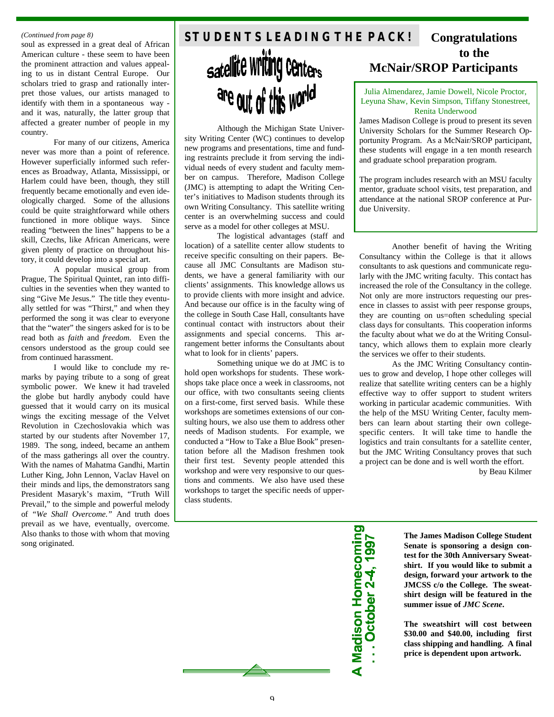soul as expressed in a great deal of African American culture - these seem to have been the prominent attraction and values appealing to us in distant Central Europe. Our scholars tried to grasp and rationally interpret those values, our artists managed to identify with them in a spontaneous way and it was, naturally, the latter group that affected a greater number of people in my country.

For many of our citizens, America never was more than a point of reference. However superficially informed such references as Broadway, Atlanta, Mississippi, or Harlem could have been, though, they still frequently became emotionally and even ideologically charged. Some of the allusions could be quite straightforward while others functioned in more oblique ways. Since reading "between the lines" happens to be a skill, Czechs, like African Americans, were given plenty of practice on throughout history, it could develop into a special art.

A popular musical group from Prague, The Spiritual Quintet, ran into difficulties in the seventies when they wanted to sing "Give Me Jesus." The title they eventually settled for was "Thirst," and when they performed the song it was clear to everyone that the "water" the singers asked for is to be read both as *faith* and *freedom*. Even the censors understood as the group could see from continued harassment.

I would like to conclude my remarks by paying tribute to a song of great symbolic power. We knew it had traveled the globe but hardly anybody could have guessed that it would carry on its musical wings the exciting message of the Velvet Revolution in Czechoslovakia which was started by our students after November 17, 1989. The song, indeed, became an anthem of the mass gatherings all over the country. With the names of Mahatma Gandhi, Martin Luther King, John Lennon, Vaclav Havel on their minds and lips, the demonstrators sang President Masaryk's maxim, "Truth Will Prevail," to the simple and powerful melody of *"We Shall Overcome."* And truth does prevail as we have, eventually, overcome. Also thanks to those with whom that moving song originated.

# *(Continued from page 8)* **Continued from page 8) STUDENTS LEADING THE PACK! Congratulations** satellite Writing Centers are out of this world

Although the Michigan State University Writing Center (WC) continues to develop new programs and presentations, time and funding restraints preclude it from serving the individual needs of every student and faculty member on campus. Therefore, Madison College (JMC) is attempting to adapt the Writing Center's initiatives to Madison students through its own Writing Consultancy. This satellite writing center is an overwhelming success and could serve as a model for other colleges at MSU.

The logistical advantages (staff and location) of a satellite center allow students to receive specific consulting on their papers. Because all JMC Consultants are Madison students, we have a general familiarity with our clients' assignments. This knowledge allows us to provide clients with more insight and advice. And because our office is in the faculty wing of the college in South Case Hall, consultants have continual contact with instructors about their assignments and special concerns. This arrangement better informs the Consultants about what to look for in clients' papers.

Something unique we do at JMC is to hold open workshops for students. These workshops take place once a week in classrooms, not our office, with two consultants seeing clients on a first-come, first served basis. While these workshops are sometimes extensions of our consulting hours, we also use them to address other needs of Madison students. For example, we conducted a "How to Take a Blue Book" presentation before all the Madison freshmen took their first test. Seventy people attended this workshop and were very responsive to our questions and comments. We also have used these workshops to target the specific needs of upperclass students.

# **to the McNair/SROP Participants**

Julia Almendarez, Jamie Dowell, Nicole Proctor, Leyuna Shaw, Kevin Simpson, Tiffany Stonestreet, Renita Underwood

James Madison College is proud to present its seven University Scholars for the Summer Research Opportunity Program. As a McNair/SROP participant, these students will engage in a ten month research and graduate school preparation program.

The program includes research with an MSU faculty mentor, graduate school visits, test preparation, and attendance at the national SROP conference at Purdue University.

Another benefit of having the Writing Consultancy within the College is that it allows consultants to ask questions and communicate regularly with the JMC writing faculty. This contact has increased the role of the Consultancy in the college. Not only are more instructors requesting our presence in classes to assist with peer response groups, they are counting on us=often scheduling special class days for consultants. This cooperation informs the faculty about what we do at the Writing Consultancy, which allows them to explain more clearly the services we offer to their students.

As the JMC Writing Consultancy continues to grow and develop, I hope other colleges will realize that satellite writing centers can be a highly effective way to offer support to student writers working in particular academic communities. With the help of the MSU Writing Center, faculty members can learn about starting their own collegespecific centers. It will take time to handle the logistics and train consultants for a satellite center, but the JMC Writing Consultancy proves that such a project can be done and is well worth the effort.

by Beau Kilmer

**A Madison Homecoming**  $\overline{1}$  . October 2-4

**The James Madison College Student Senate is sponsoring a design contest for the 30th Anniversary Sweatshirt. If you would like to submit a design, forward your artwork to the JMCSS c/o the College. The sweatshirt design will be featured in the summer issue of** *JMC Scene***.**

**The sweatshirt will cost between \$30.00 and \$40.00, including first class shipping and handling. A final price is dependent upon artwork.**